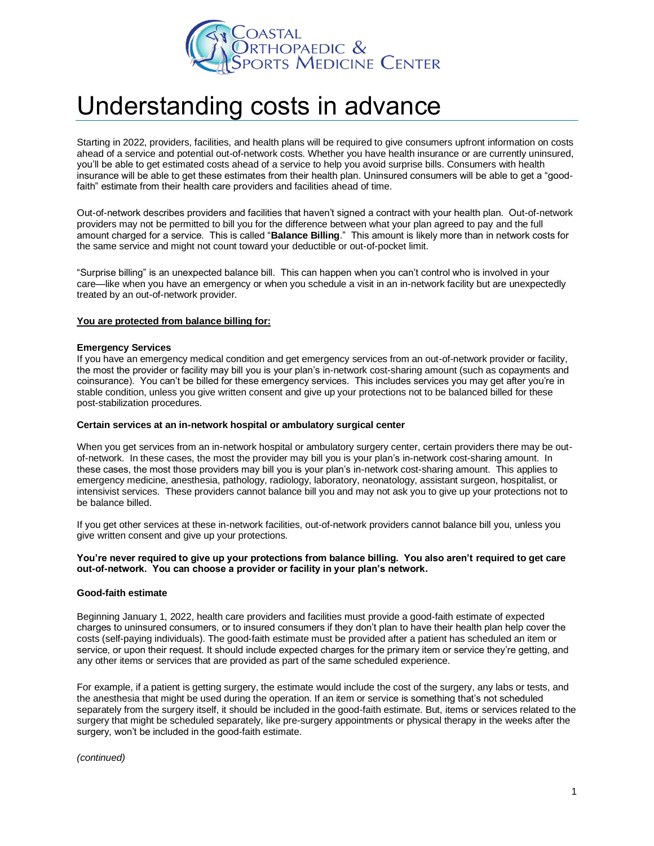

# Understanding costs in advance

Starting in 2022, providers, facilities, and health plans will be required to give consumers upfront information on costs ahead of a service and potential out-of-network costs. Whether you have health insurance or are currently uninsured, you'll be able to get estimated costs ahead of a service to help you avoid surprise bills. Consumers with health insurance will be able to get these estimates from their health plan. Uninsured consumers will be able to get a "goodfaith" estimate from their health care providers and facilities ahead of time.

Out-of-network describes providers and facilities that haven't signed a contract with your health plan. Out-of-network providers may not be permitted to bill you for the difference between what your plan agreed to pay and the full amount charged for a service. This is called "**Balance Billing**." This amount is likely more than in network costs for the same service and might not count toward your deductible or out-of-pocket limit.

"Surprise billing" is an unexpected balance bill. This can happen when you can't control who is involved in your care—like when you have an emergency or when you schedule a visit in an in-network facility but are unexpectedly treated by an out-of-network provider.

#### **You are protected from balance billing for:**

#### **Emergency Services**

If you have an emergency medical condition and get emergency services from an out-of-network provider or facility, the most the provider or facility may bill you is your plan's in-network cost-sharing amount (such as copayments and coinsurance). You can't be billed for these emergency services. This includes services you may get after you're in stable condition, unless you give written consent and give up your protections not to be balanced billed for these post-stabilization procedures.

#### **Certain services at an in-network hospital or ambulatory surgical center**

When you get services from an in-network hospital or ambulatory surgery center, certain providers there may be outof-network. In these cases, the most the provider may bill you is your plan's in-network cost-sharing amount. In these cases, the most those providers may bill you is your plan's in-network cost-sharing amount. This applies to emergency medicine, anesthesia, pathology, radiology, laboratory, neonatology, assistant surgeon, hospitalist, or intensivist services. These providers cannot balance bill you and may not ask you to give up your protections not to be balance billed.

If you get other services at these in-network facilities, out-of-network providers cannot balance bill you, unless you give written consent and give up your protections.

#### **You're never required to give up your protections from balance billing. You also aren't required to get care out-of-network. You can choose a provider or facility in your plan's network.**

# **Good-faith estimate**

Beginning January 1, 2022, health care providers and facilities must provide a good-faith estimate of expected charges to uninsured consumers, or to insured consumers if they don't plan to have their health plan help cover the costs (self-paying individuals). The good-faith estimate must be provided after a patient has scheduled an item or service, or upon their request. It should include expected charges for the primary item or service they're getting, and any other items or services that are provided as part of the same scheduled experience.

For example, if a patient is getting surgery, the estimate would include the cost of the surgery, any labs or tests, and the anesthesia that might be used during the operation. If an item or service is something that's not scheduled separately from the surgery itself, it should be included in the good-faith estimate. But, items or services related to the surgery that might be scheduled separately, like pre-surgery appointments or physical therapy in the weeks after the surgery, won't be included in the good-faith estimate.

*(continued)*